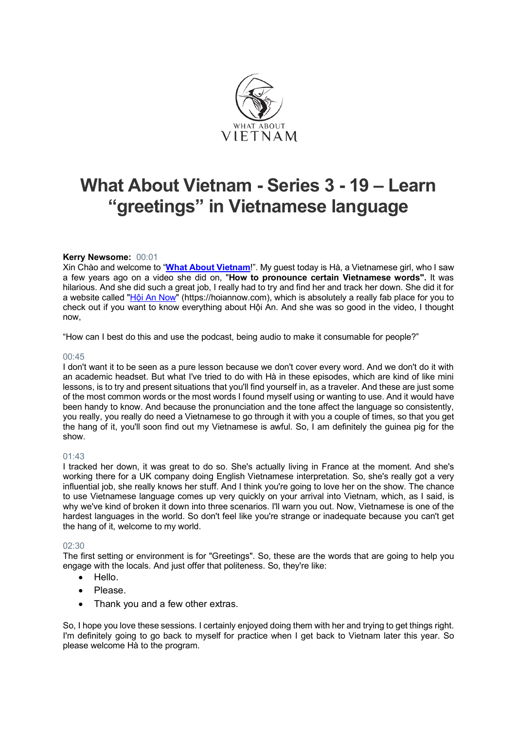

# **What About Vietnam - Series 3 - 19 – Learn "greetings" in Vietnamese language**

# **Kerry Newsome:** 00:01

Xin Chào and welcome to "**What About Vietnam**!". My guest today is Hà, a Vietnamese girl, who I saw a few years ago on a video she did on, "**How to pronounce certain Vietnamese words".** It was hilarious. And she did such a great job, I really had to try and find her and track her down. She did it for a website called "Hội An Now" (https://hoiannow.com), which is absolutely a really fab place for you to check out if you want to know everything about Hội An. And she was so good in the video, I thought now,

"How can I best do this and use the podcast, being audio to make it consumable for people?"

# 00:45

I don't want it to be seen as a pure lesson because we don't cover every word. And we don't do it with an academic headset. But what I've tried to do with Hà in these episodes, which are kind of like mini lessons, is to try and present situations that you'll find yourself in, as a traveler. And these are just some of the most common words or the most words I found myself using or wanting to use. And it would have been handy to know. And because the pronunciation and the tone affect the language so consistently, you really, you really do need a Vietnamese to go through it with you a couple of times, so that you get the hang of it, you'll soon find out my Vietnamese is awful. So, I am definitely the guinea pig for the show.

# 01:43

I tracked her down, it was great to do so. She's actually living in France at the moment. And she's working there for a UK company doing English Vietnamese interpretation. So, she's really got a very influential job, she really knows her stuff. And I think you're going to love her on the show. The chance to use Vietnamese language comes up very quickly on your arrival into Vietnam, which, as I said, is why we've kind of broken it down into three scenarios. I'll warn you out. Now, Vietnamese is one of the hardest languages in the world. So don't feel like you're strange or inadequate because you can't get the hang of it, welcome to my world.

# 02:30

The first setting or environment is for "Greetings". So, these are the words that are going to help you engage with the locals. And just offer that politeness. So, they're like:

- Hello.
- Please.
- Thank you and a few other extras.

So, I hope you love these sessions. I certainly enjoyed doing them with her and trying to get things right. I'm definitely going to go back to myself for practice when I get back to Vietnam later this year. So please welcome Hà to the program.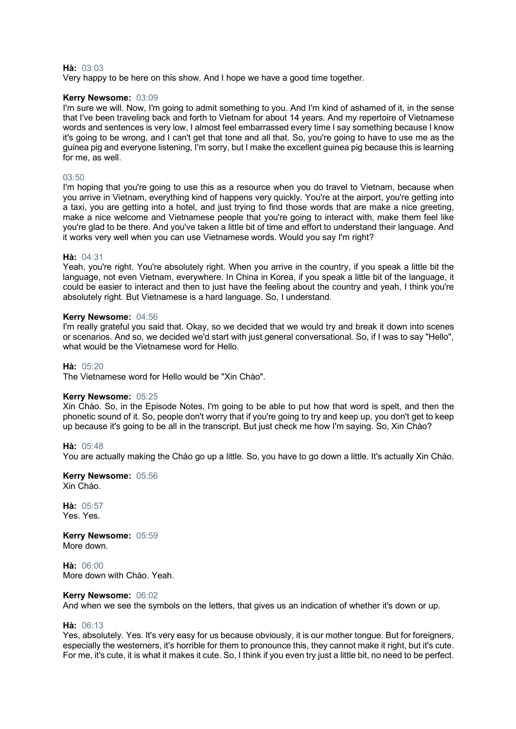# **Hà:** 03:03

Very happy to be here on this show. And I hope we have a good time together.

# **Kerry Newsome:** 03:09

I'm sure we will. Now, I'm going to admit something to you. And I'm kind of ashamed of it, in the sense that I've been traveling back and forth to Vietnam for about 14 years. And my repertoire of Vietnamese words and sentences is very low, I almost feel embarrassed every time I say something because I know it's going to be wrong, and I can't get that tone and all that. So, you're going to have to use me as the guinea pig and everyone listening, I'm sorry, but I make the excellent guinea pig because this is learning for me, as well.

# 03:50

I'm hoping that you're going to use this as a resource when you do travel to Vietnam, because when you arrive in Vietnam, everything kind of happens very quickly. You're at the airport, you're getting into a taxi, you are getting into a hotel, and just trying to find those words that are make a nice greeting, make a nice welcome and Vietnamese people that you're going to interact with, make them feel like you're glad to be there. And you've taken a little bit of time and effort to understand their language. And it works very well when you can use Vietnamese words. Would you say I'm right?

# **Hà:** 04:31

Yeah, you're right. You're absolutely right. When you arrive in the country, if you speak a little bit the language, not even Vietnam, everywhere. In China in Korea, if you speak a little bit of the language, it could be easier to interact and then to just have the feeling about the country and yeah, I think you're absolutely right. But Vietnamese is a hard language. So, I understand.

# **Kerry Newsome:** 04:56

I'm really grateful you said that. Okay, so we decided that we would try and break it down into scenes or scenarios. And so, we decided we'd start with just general conversational. So, if I was to say "Hello", what would be the Vietnamese word for Hello.

# **Hà:** 05:20

The Vietnamese word for Hello would be "Xin Chào".

# **Kerry Newsome:** 05:25

Xin Chào. So, in the Episode Notes, I'm going to be able to put how that word is spelt, and then the phonetic sound of it. So, people don't worry that if you're going to try and keep up, you don't get to keep up because it's going to be all in the transcript. But just check me how I'm saying. So, Xin Chào?

#### **Hà:** 05:48

You are actually making the Chào go up a little. So, you have to go down a little. It's actually Xin Chào.

**Kerry Newsome:** 05:56 Xin Chào.

**Hà:** 05:57 Yes. Yes.

**Kerry Newsome:** 05:59 More down.

**Hà:** 06:00 More down with Chào. Yeah.

# **Kerry Newsome:** 06:02

And when we see the symbols on the letters, that gives us an indication of whether it's down or up.

# **Hà:** 06:13

Yes, absolutely. Yes. It's very easy for us because obviously, it is our mother tongue. But for foreigners, especially the westerners, it's horrible for them to pronounce this, they cannot make it right, but it's cute. For me, it's cute, it is what it makes it cute. So, I think if you even try just a little bit, no need to be perfect.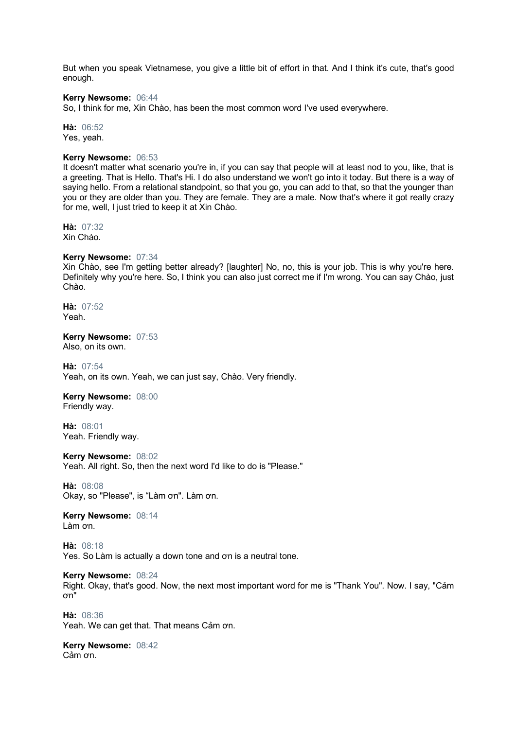But when you speak Vietnamese, you give a little bit of effort in that. And I think it's cute, that's good enough.

# **Kerry Newsome:** 06:44

So, I think for me, Xin Chào, has been the most common word I've used everywhere.

**Hà:** 06:52 Yes, yeah.

# **Kerry Newsome:** 06:53

It doesn't matter what scenario you're in, if you can say that people will at least nod to you, like, that is a greeting. That is Hello. That's Hi. I do also understand we won't go into it today. But there is a way of saying hello. From a relational standpoint, so that you go, you can add to that, so that the younger than you or they are older than you. They are female. They are a male. Now that's where it got really crazy for me, well, I just tried to keep it at Xin Chào.

**Hà:** 07:32 Xin Chào.

# **Kerry Newsome:** 07:34

Xin Chào, see I'm getting better already? [laughter] No, no, this is your job. This is why you're here. Definitely why you're here. So, I think you can also just correct me if I'm wrong. You can say Chào, just Chào.

**Hà:** 07:52 Yeah.

**Kerry Newsome:** 07:53 Also, on its own.

**Hà:** 07:54 Yeah, on its own. Yeah, we can just say, Chào. Very friendly.

# **Kerry Newsome:** 08:00

Friendly way.

**Hà:** 08:01 Yeah. Friendly way.

**Kerry Newsome:** 08:02 Yeah. All right. So, then the next word I'd like to do is "Please."

**Hà:** 08:08 Okay, so "Please", is "Làm ơn". Làm ơn.

**Kerry Newsome:** 08:14 Làm ơn.

**Hà:** 08:18 Yes. So Làm is actually a down tone and ơn is a neutral tone.

**Kerry Newsome:** 08:24 Right. Okay, that's good. Now, the next most important word for me is "Thank You". Now. I say, "Cảm ơn"

**Hà:** 08:36 Yeah. We can get that. That means Cảm ơn.

**Kerry Newsome:** 08:42 Cảm ơn.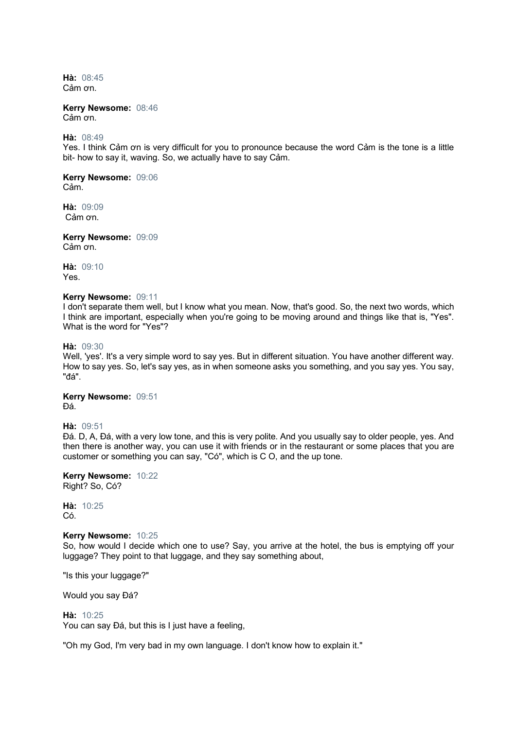**Hà:** 08:45 Cảm ơn.

**Kerry Newsome:** 08:46 Cảm ơn.

**Hà:** 08:49

Yes. I think Cảm ơn is very difficult for you to pronounce because the word Cảm is the tone is a little bit- how to say it, waving. So, we actually have to say Cảm.

**Kerry Newsome:** 09:06 Cảm.

**Hà:** 09:09 Cảm ơn.

**Kerry Newsome:** 09:09 Cảm ơn.

**Hà:** 09:10 Yes.

#### **Kerry Newsome:** 09:11

I don't separate them well, but I know what you mean. Now, that's good. So, the next two words, which I think are important, especially when you're going to be moving around and things like that is, "Yes". What is the word for "Yes"?

**Hà:** 09:30

Well, 'yes'. It's a very simple word to say yes. But in different situation. You have another different way. How to say yes. So, let's say yes, as in when someone asks you something, and you say yes. You say, "đá".

**Kerry Newsome:** 09:51 Đá.

**Hà:** 09:51

Đá. D, A, Đá, with a very low tone, and this is very polite. And you usually say to older people, yes. And then there is another way, you can use it with friends or in the restaurant or some places that you are customer or something you can say, "Có", which is C O, and the up tone.

**Kerry Newsome:** 10:22 Right? So, Có?

**Hà:** 10:25 Có.

#### **Kerry Newsome:** 10:25

So, how would I decide which one to use? Say, you arrive at the hotel, the bus is emptying off your luggage? They point to that luggage, and they say something about,

"Is this your luggage?"

Would you say Đá?

#### **Hà:** 10:25

You can say Đá, but this is I just have a feeling,

"Oh my God, I'm very bad in my own language. I don't know how to explain it."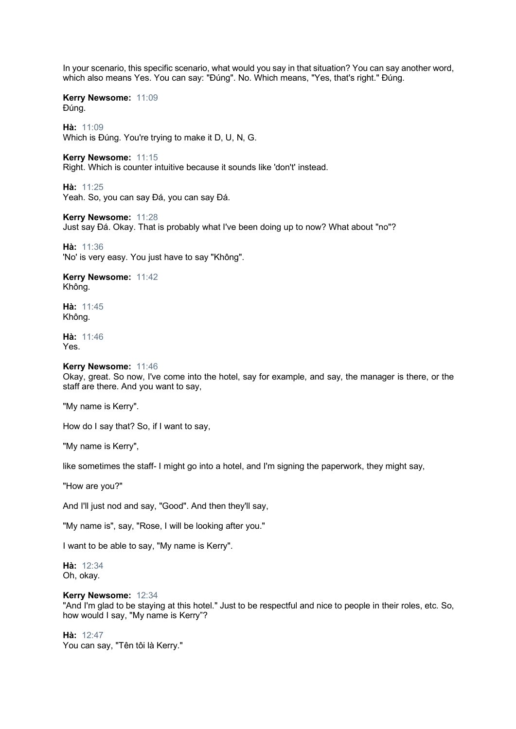In your scenario, this specific scenario, what would you say in that situation? You can say another word, which also means Yes. You can say: "Đúng". No. Which means, "Yes, that's right." Đúng.

**Kerry Newsome:** 11:09 Đúng.

**Hà:** 11:09 Which is Đúng. You're trying to make it D, U, N, G.

**Kerry Newsome:** 11:15 Right. Which is counter intuitive because it sounds like 'don't' instead.

**Hà:** 11:25 Yeah. So, you can say Đá, you can say Đá.

**Kerry Newsome:** 11:28 Just say Đá. Okay. That is probably what I've been doing up to now? What about "no"?

**Hà:** 11:36 'No' is very easy. You just have to say "Không".

**Kerry Newsome:** 11:42 Không.

**Hà:** 11:45 Không.

**Hà:** 11:46 Yes.

# **Kerry Newsome:** 11:46

Okay, great. So now, I've come into the hotel, say for example, and say, the manager is there, or the staff are there. And you want to say,

"My name is Kerry".

How do I say that? So, if I want to say,

"My name is Kerry",

like sometimes the staff- I might go into a hotel, and I'm signing the paperwork, they might say,

"How are you?"

And I'll just nod and say, "Good". And then they'll say,

"My name is", say, "Rose, I will be looking after you."

I want to be able to say, "My name is Kerry".

**Hà:** 12:34 Oh, okay.

# **Kerry Newsome:** 12:34

"And I'm glad to be staying at this hotel." Just to be respectful and nice to people in their roles, etc. So, how would I say, "My name is Kerry"?

**Hà:** 12:47 You can say, "Tên tôi là Kerry."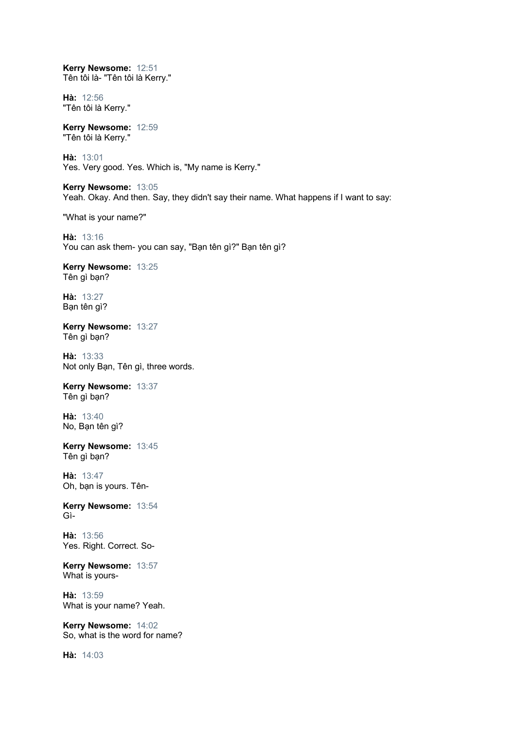**Kerry Newsome:** 12:51 Tên tôi là- "Tên tôi là Kerry."

**Hà:** 12:56 "Tên tôi là Kerry."

**Kerry Newsome:** 12:59 "Tên tôi là Kerry."

**Hà:** 13:01 Yes. Very good. Yes. Which is, "My name is Kerry."

**Kerry Newsome:** 13:05 Yeah. Okay. And then. Say, they didn't say their name. What happens if I want to say:

"What is your name?"

**Hà:** 13:16 You can ask them- you can say, "Bạn tên gì?" Bạn tên gì?

**Kerry Newsome:** 13:25 Tên gì bạn?

**Hà:** 13:27 Bạn tên gì?

**Kerry Newsome:** 13:27 Tên gì bạn?

**Hà:** 13:33 Not only Bạn, Tên gì, three words.

**Kerry Newsome:** 13:37 Tên gì bạn?

**Hà:** 13:40 No, Bạn tên gì?

**Kerry Newsome:** 13:45 Tên gì bạn?

**Hà:** 13:47 Oh, bạn is yours. Tên-

**Kerry Newsome:** 13:54 Gì-

**Hà:** 13:56 Yes. Right. Correct. So-

**Kerry Newsome:** 13:57 What is yours-

**Hà:** 13:59 What is your name? Yeah.

**Kerry Newsome:** 14:02 So, what is the word for name?

**Hà:** 14:03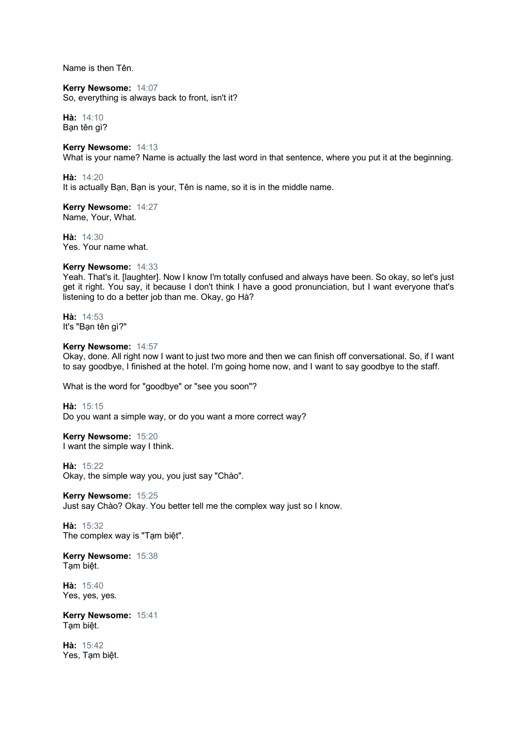Name is then Tên.

**Kerry Newsome:** 14:07 So, everything is always back to front, isn't it?

**Hà:** 14:10 Bạn tên gì?

# **Kerry Newsome:** 14:13

What is your name? Name is actually the last word in that sentence, where you put it at the beginning.

**Hà:** 14:20 It is actually Bạn, Bạn is your, Tên is name, so it is in the middle name.

**Kerry Newsome:** 14:27 Name, Your, What.

**Hà:** 14:30 Yes. Your name what.

# **Kerry Newsome:** 14:33

Yeah. That's it. [laughter]. Now I know I'm totally confused and always have been. So okay, so let's just get it right. You say, it because I don't think I have a good pronunciation, but I want everyone that's listening to do a better job than me. Okay, go Hà?

**Hà:** 14:53 It's "Bạn tên gì?"

### **Kerry Newsome:** 14:57

Okay, done. All right now I want to just two more and then we can finish off conversational. So, if I want to say goodbye, I finished at the hotel. I'm going home now, and I want to say goodbye to the staff.

What is the word for "goodbye" or "see you soon"?

**Hà:** 15:15

Do you want a simple way, or do you want a more correct way?

**Kerry Newsome:** 15:20

I want the simple way I think.

**Hà:** 15:22

Okay, the simple way you, you just say "Chào".

**Kerry Newsome:** 15:25 Just say Chào? Okay. You better tell me the complex way just so I know.

**Hà:** 15:32 The complex way is "Tam biệt".

**Kerry Newsome:** 15:38 Tạm biệt.

**Hà:** 15:40 Yes, yes, yes.

**Kerry Newsome:** 15:41 Tạm biệt.

**Hà:** 15:42 Yes, Tạm biệt.